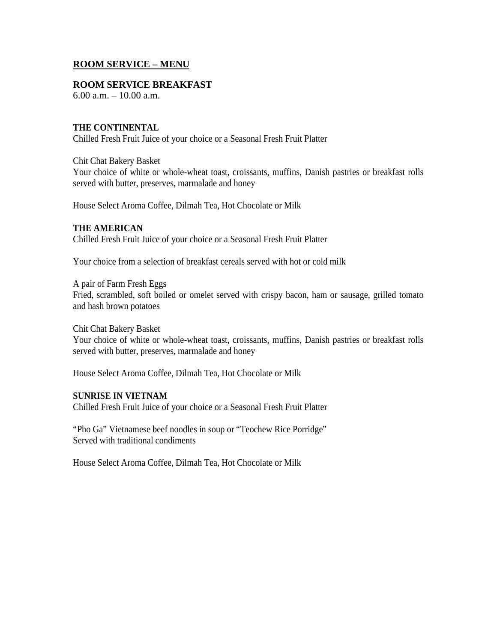# **ROOM SERVICE – MENU**

#### **ROOM SERVICE BREAKFAST**

6.00 a.m. – 10.00 a.m.

## **THE CONTINENTAL**

Chilled Fresh Fruit Juice of your choice or a Seasonal Fresh Fruit Platter

Chit Chat Bakery Basket

Your choice of white or whole-wheat toast, croissants, muffins, Danish pastries or breakfast rolls served with butter, preserves, marmalade and honey

House Select Aroma Coffee, Dilmah Tea, Hot Chocolate or Milk

## **THE AMERICAN**

Chilled Fresh Fruit Juice of your choice or a Seasonal Fresh Fruit Platter

Your choice from a selection of breakfast cereals served with hot or cold milk

A pair of Farm Fresh Eggs Fried, scrambled, soft boiled or omelet served with crispy bacon, ham or sausage, grilled tomato and hash brown potatoes

Chit Chat Bakery Basket Your choice of white or whole-wheat toast, croissants, muffins, Danish pastries or breakfast rolls served with butter, preserves, marmalade and honey

House Select Aroma Coffee, Dilmah Tea, Hot Chocolate or Milk

## **SUNRISE IN VIETNAM**

Chilled Fresh Fruit Juice of your choice or a Seasonal Fresh Fruit Platter

"Pho Ga" Vietnamese beef noodles in soup or "Teochew Rice Porridge" Served with traditional condiments

House Select Aroma Coffee, Dilmah Tea, Hot Chocolate or Milk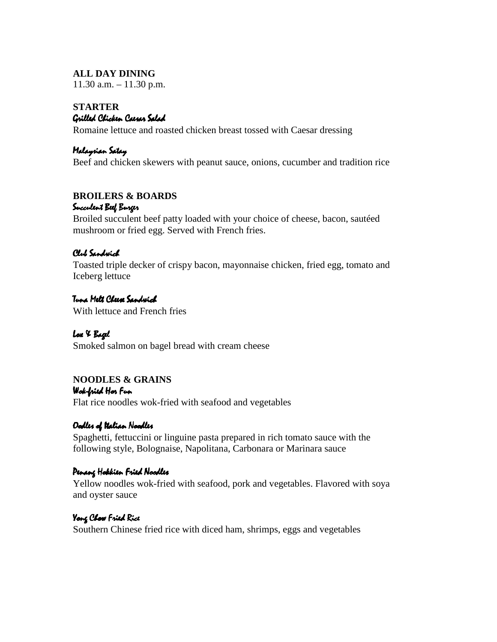# **ALL DAY DINING**

 $11.30$  a.m.  $-11.30$  p.m.

#### **STARTER** Grilled Chicken Caesar Salad

Romaine lettuce and roasted chicken breast tossed with Caesar dressing

# Malaysian Satay

Beef and chicken skewers with peanut sauce, onions, cucumber and tradition rice

# **BROILERS & BOARDS**

#### Succulent Beef Burger

Broiled succulent beef patty loaded with your choice of cheese, bacon, sautéed mushroom or fried egg. Served with French fries.

## Club Sandwich

Toasted triple decker of crispy bacon, mayonnaise chicken, fried egg, tomato and Iceberg lettuce

## Tuna Melt Cheese Sandwich

With lettuce and French fries

# Lox & Bagel

Smoked salmon on bagel bread with cream cheese

# **NOODLES & GRAINS**

Wok-fried Har Fun Flat rice noodles wok-fried with seafood and vegetables

# Oadles of Italian Naadles

Spaghetti, fettuccini or linguine pasta prepared in rich tomato sauce with the following style, Bolognaise, Napolitana, Carbonara or Marinara sauce

## Penang Hokkien Fried Noodles

Yellow noodles wok-fried with seafood, pork and vegetables. Flavored with soya and oyster sauce

# Yong Chow Fried Rice

Southern Chinese fried rice with diced ham, shrimps, eggs and vegetables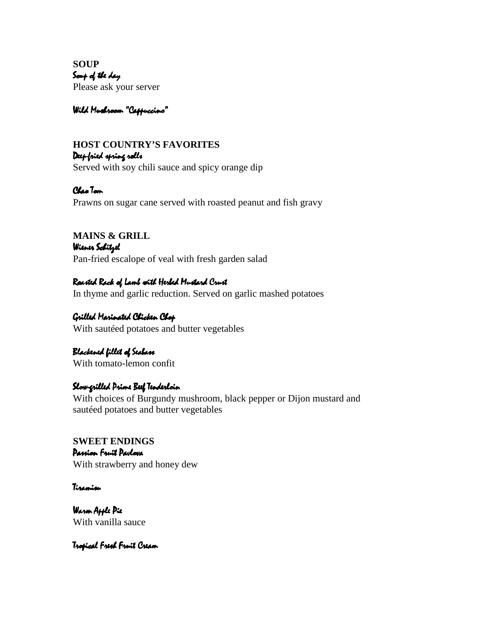**SOUP** Soup of the day Please ask your server

# Wild Mushroom "Cappuccino"

# **HOST COUNTRY'S FAVORITES** Deep-fried spring rolls Served with soy chili sauce and spicy orange dip

Chao Tom Prawns on sugar cane served with roasted peanut and fish gravy

**MAINS & GRILL** Wiener S*chitzel* Pan-fried escalope of veal with fresh garden salad

Raasted Rack of Lamb with Herbed Mustard Crust In thyme and garlic reduction. Served on garlic mashed potatoes

Grilled Marinated Chicken Chop With sautéed potatoes and butter vegetables

Blackened fillet of Seabass With tomato-lemon confit

# Slow-grilled Prime Beef Tenderloin

With choices of Burgundy mushroom, black pepper or Dijon mustard and sautéed potatoes and butter vegetables

**SWEET ENDINGS** Passion Fruit Pavlova With strawberry and honey dew

Tiramisu

Warm Apple Pie With vanilla sauce

Tropical Fresh Fruit Cream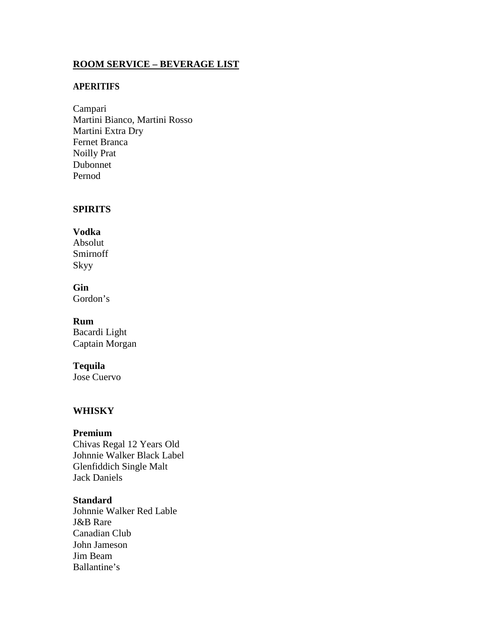# **ROOM SERVICE – BEVERAGE LIST**

## **APERITIFS**

Campari Martini Bianco, Martini Rosso Martini Extra Dry Fernet Branca Noilly Prat Dubonnet Pernod

## **SPIRITS**

# **Vodka** Absolut

Smirnoff Skyy

# **Gin**

Gordon's

# **Rum**

Bacardi Light Captain Morgan

## **Tequila**

Jose Cuervo

# **WHISKY**

#### **Premium**

Chivas Regal 12 Years Old Johnnie Walker Black Label Glenfiddich Single Malt Jack Daniels

#### **Standard**

Johnnie Walker Red Lable J&B Rare Canadian Club John Jameson Jim Beam Ballantine's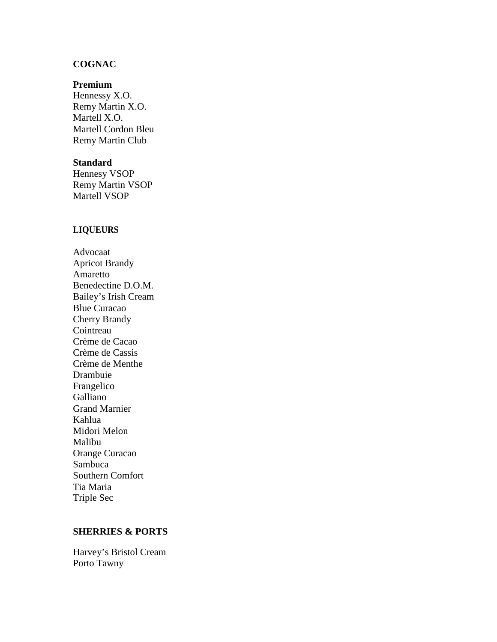## **COGNAC**

#### **Premium**

Hennessy X.O. Remy Martin X.O. Martell X.O. Martell Cordon Bleu Remy Martin Club

#### **Standard**

Hennesy VSOP Remy Martin VSOP Martell VSOP

#### **LIQUEURS**

Advocaat Apricot Brandy Amaretto Benedectine D.O.M. Bailey's Irish Cream Blue Curacao Cherry Brandy Cointreau Crème de Cacao Crème de Cassis Crème de Menthe Drambuie Frangelico Galliano Grand Marnier Kahlua Midori Melon Malibu Orange Curacao Sambuca Southern Comfort Tia Maria Triple Sec

#### **SHERRIES & PORTS**

Harvey's Bristol Cream Porto Tawny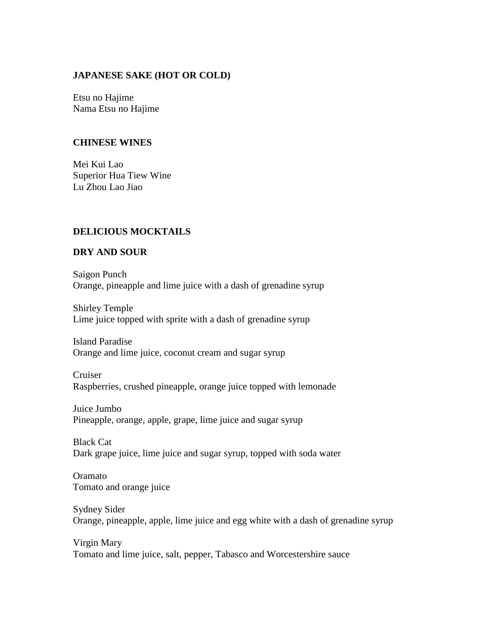## **JAPANESE SAKE (HOT OR COLD)**

Etsu no Hajime Nama Etsu no Hajime

#### **CHINESE WINES**

Mei Kui Lao Superior Hua Tiew Wine Lu Zhou Lao Jiao

# **DELICIOUS MOCKTAILS**

## **DRY AND SOUR**

Saigon Punch Orange, pineapple and lime juice with a dash of grenadine syrup

Shirley Temple Lime juice topped with sprite with a dash of grenadine syrup

Island Paradise Orange and lime juice, coconut cream and sugar syrup

Cruiser Raspberries, crushed pineapple, orange juice topped with lemonade

Juice Jumbo Pineapple, orange, apple, grape, lime juice and sugar syrup

Black Cat Dark grape juice, lime juice and sugar syrup, topped with soda water

Oramato Tomato and orange juice

# Sydney Sider Orange, pineapple, apple, lime juice and egg white with a dash of grenadine syrup

Virgin Mary Tomato and lime juice, salt, pepper, Tabasco and Worcestershire sauce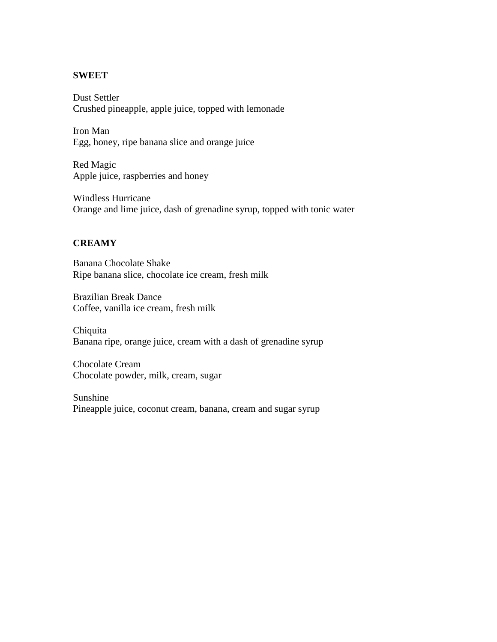# **SWEET**

Dust Settler Crushed pineapple, apple juice, topped with lemonade

Iron Man Egg, honey, ripe banana slice and orange juice

Red Magic Apple juice, raspberries and honey

Windless Hurricane Orange and lime juice, dash of grenadine syrup, topped with tonic water

# **CREAMY**

Banana Chocolate Shake Ripe banana slice, chocolate ice cream, fresh milk

Brazilian Break Dance Coffee, vanilla ice cream, fresh milk

Chiquita Banana ripe, orange juice, cream with a dash of grenadine syrup

Chocolate Cream Chocolate powder, milk, cream, sugar

Sunshine Pineapple juice, coconut cream, banana, cream and sugar syrup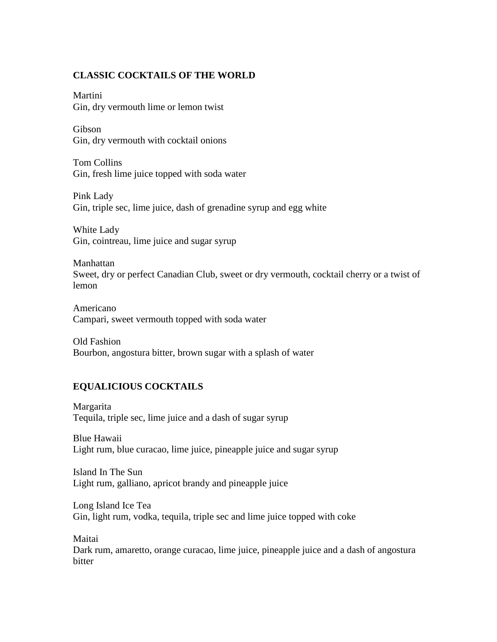# **CLASSIC COCKTAILS OF THE WORLD**

Martini Gin, dry vermouth lime or lemon twist

Gibson Gin, dry vermouth with cocktail onions

Tom Collins Gin, fresh lime juice topped with soda water

Pink Lady Gin, triple sec, lime juice, dash of grenadine syrup and egg white

White Lady Gin, cointreau, lime juice and sugar syrup

Manhattan Sweet, dry or perfect Canadian Club, sweet or dry vermouth, cocktail cherry or a twist of lemon

Americano Campari, sweet vermouth topped with soda water

Old Fashion Bourbon, angostura bitter, brown sugar with a splash of water

# **EQUALICIOUS COCKTAILS**

Margarita Tequila, triple sec, lime juice and a dash of sugar syrup

Blue Hawaii Light rum, blue curacao, lime juice, pineapple juice and sugar syrup

Island In The Sun Light rum, galliano, apricot brandy and pineapple juice

Long Island Ice Tea Gin, light rum, vodka, tequila, triple sec and lime juice topped with coke

Maitai Dark rum, amaretto, orange curacao, lime juice, pineapple juice and a dash of angostura bitter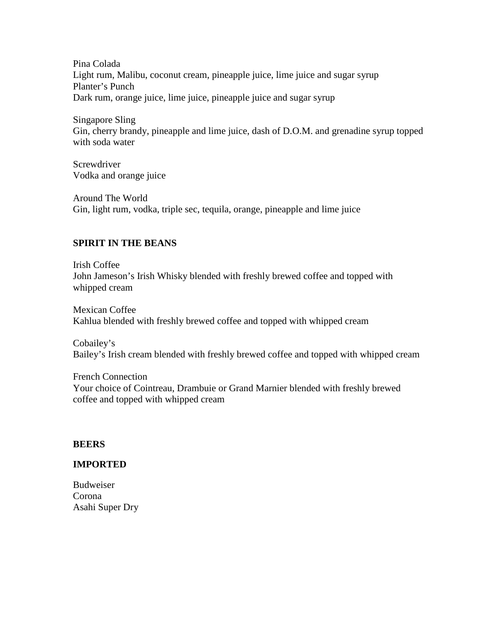Pina Colada Light rum, Malibu, coconut cream, pineapple juice, lime juice and sugar syrup Planter's Punch Dark rum, orange juice, lime juice, pineapple juice and sugar syrup

Singapore Sling Gin, cherry brandy, pineapple and lime juice, dash of D.O.M. and grenadine syrup topped with soda water

**Screwdriver** Vodka and orange juice

Around The World Gin, light rum, vodka, triple sec, tequila, orange, pineapple and lime juice

# **SPIRIT IN THE BEANS**

Irish Coffee John Jameson's Irish Whisky blended with freshly brewed coffee and topped with whipped cream

Mexican Coffee Kahlua blended with freshly brewed coffee and topped with whipped cream

Cobailey's Bailey's Irish cream blended with freshly brewed coffee and topped with whipped cream

French Connection Your choice of Cointreau, Drambuie or Grand Marnier blended with freshly brewed coffee and topped with whipped cream

# **BEERS**

# **IMPORTED**

Budweiser Corona Asahi Super Dry